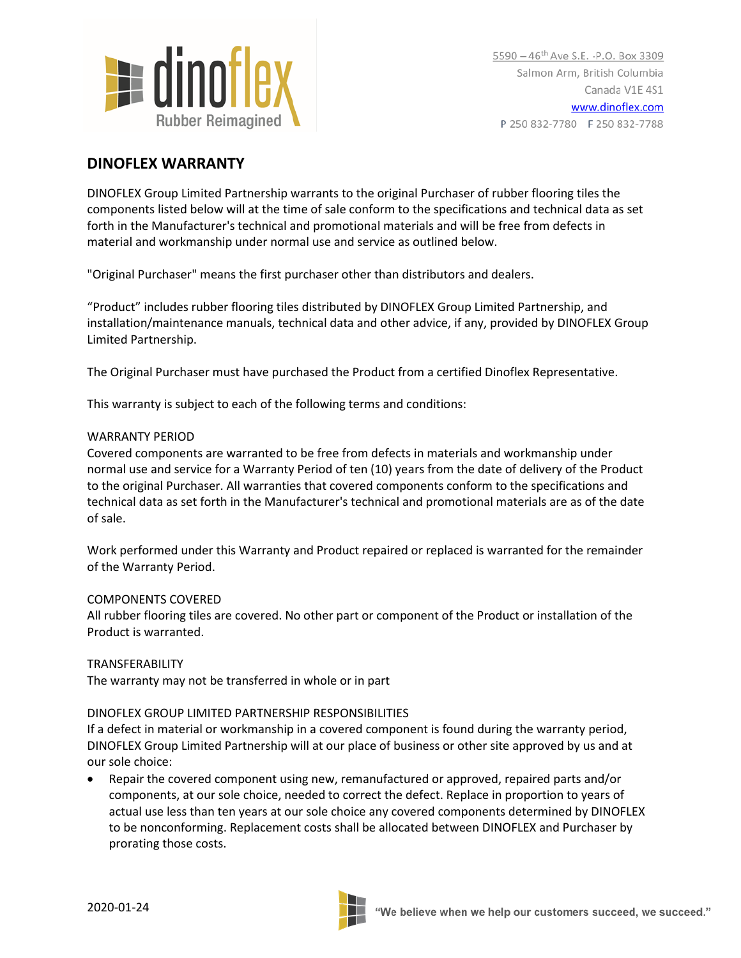

# **DINOFLEX WARRANTY**

DINOFLEX Group Limited Partnership warrants to the original Purchaser of rubber flooring tiles the components listed below will at the time of sale conform to the specifications and technical data as set forth in the Manufacturer's technical and promotional materials and will be free from defects in material and workmanship under normal use and service as outlined below.

"Original Purchaser" means the first purchaser other than distributors and dealers.

"Product" includes rubber flooring tiles distributed by DINOFLEX Group Limited Partnership, and installation/maintenance manuals, technical data and other advice, if any, provided by DINOFLEX Group Limited Partnership.

The Original Purchaser must have purchased the Product from a certified Dinoflex Representative.

This warranty is subject to each of the following terms and conditions:

## WARRANTY PERIOD

Covered components are warranted to be free from defects in materials and workmanship under normal use and service for a Warranty Period of ten (10) years from the date of delivery of the Product to the original Purchaser. All warranties that covered components conform to the specifications and technical data as set forth in the Manufacturer's technical and promotional materials are as of the date of sale.

Work performed under this Warranty and Product repaired or replaced is warranted for the remainder of the Warranty Period.

## COMPONENTS COVERED

All rubber flooring tiles are covered. No other part or component of the Product or installation of the Product is warranted.

TRANSFERABILITY The warranty may not be transferred in whole or in part

## DINOFLEX GROUP LIMITED PARTNERSHIP RESPONSIBILITIES

If a defect in material or workmanship in a covered component is found during the warranty period, DINOFLEX Group Limited Partnership will at our place of business or other site approved by us and at our sole choice:

• Repair the covered component using new, remanufactured or approved, repaired parts and/or components, at our sole choice, needed to correct the defect. Replace in proportion to years of actual use less than ten years at our sole choice any covered components determined by DINOFLEX to be nonconforming. Replacement costs shall be allocated between DINOFLEX and Purchaser by prorating those costs.

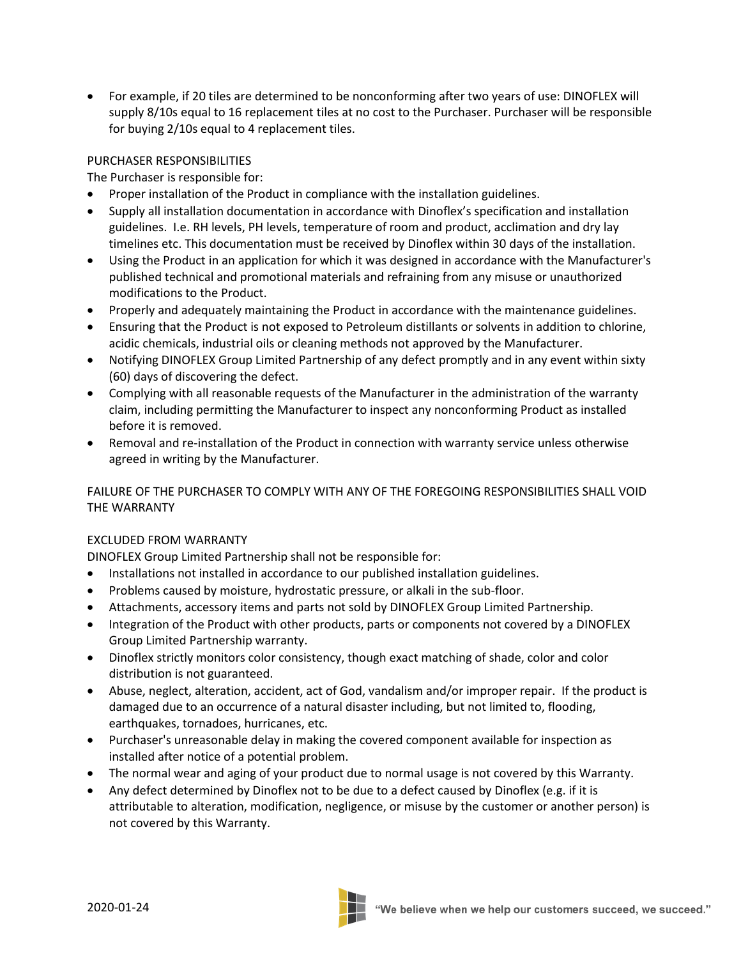• For example, if 20 tiles are determined to be nonconforming after two years of use: DINOFLEX will supply 8/10s equal to 16 replacement tiles at no cost to the Purchaser. Purchaser will be responsible for buying 2/10s equal to 4 replacement tiles.

## PURCHASER RESPONSIBILITIES

The Purchaser is responsible for:

- Proper installation of the Product in compliance with the installation guidelines.
- Supply all installation documentation in accordance with Dinoflex's specification and installation guidelines. I.e. RH levels, PH levels, temperature of room and product, acclimation and dry lay timelines etc. This documentation must be received by Dinoflex within 30 days of the installation.
- Using the Product in an application for which it was designed in accordance with the Manufacturer's published technical and promotional materials and refraining from any misuse or unauthorized modifications to the Product.
- Properly and adequately maintaining the Product in accordance with the maintenance guidelines.
- Ensuring that the Product is not exposed to Petroleum distillants or solvents in addition to chlorine, acidic chemicals, industrial oils or cleaning methods not approved by the Manufacturer.
- Notifying DINOFLEX Group Limited Partnership of any defect promptly and in any event within sixty (60) days of discovering the defect.
- Complying with all reasonable requests of the Manufacturer in the administration of the warranty claim, including permitting the Manufacturer to inspect any nonconforming Product as installed before it is removed.
- Removal and re-installation of the Product in connection with warranty service unless otherwise agreed in writing by the Manufacturer.

FAILURE OF THE PURCHASER TO COMPLY WITH ANY OF THE FOREGOING RESPONSIBILITIES SHALL VOID THE WARRANTY

## EXCLUDED FROM WARRANTY

DINOFLEX Group Limited Partnership shall not be responsible for:

- Installations not installed in accordance to our published installation guidelines.
- Problems caused by moisture, hydrostatic pressure, or alkali in the sub-floor.
- Attachments, accessory items and parts not sold by DINOFLEX Group Limited Partnership.
- Integration of the Product with other products, parts or components not covered by a DINOFLEX Group Limited Partnership warranty.
- Dinoflex strictly monitors color consistency, though exact matching of shade, color and color distribution is not guaranteed.
- Abuse, neglect, alteration, accident, act of God, vandalism and/or improper repair. If the product is damaged due to an occurrence of a natural disaster including, but not limited to, flooding, earthquakes, tornadoes, hurricanes, etc.
- Purchaser's unreasonable delay in making the covered component available for inspection as installed after notice of a potential problem.
- The normal wear and aging of your product due to normal usage is not covered by this Warranty.
- Any defect determined by Dinoflex not to be due to a defect caused by Dinoflex (e.g. if it is attributable to alteration, modification, negligence, or misuse by the customer or another person) is not covered by this Warranty.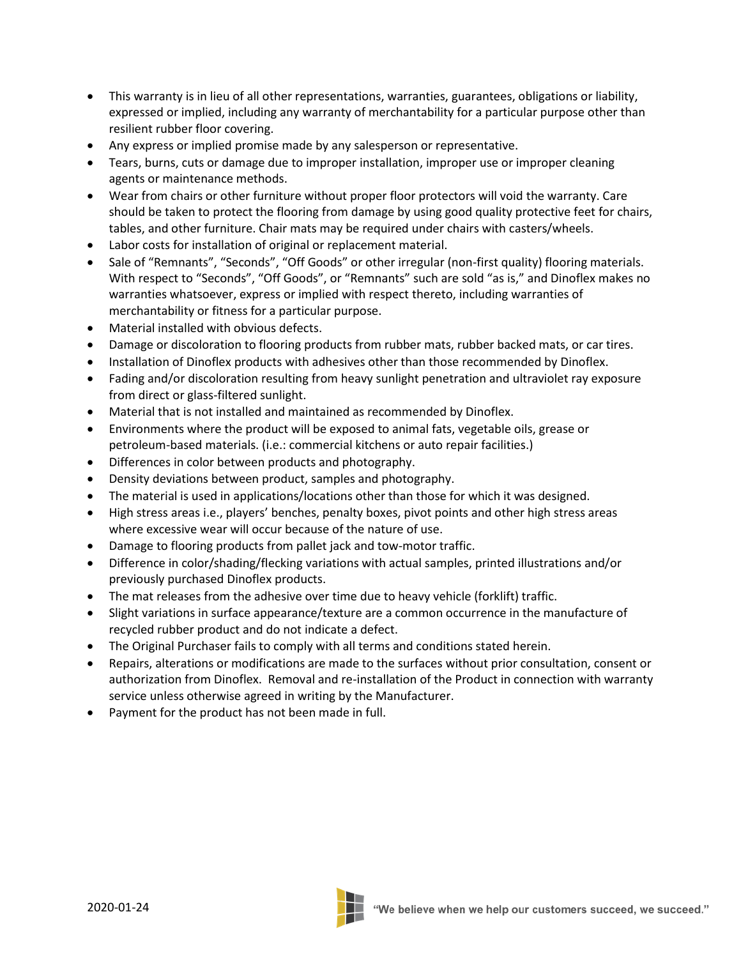- This warranty is in lieu of all other representations, warranties, guarantees, obligations or liability, expressed or implied, including any warranty of merchantability for a particular purpose other than resilient rubber floor covering.
- Any express or implied promise made by any salesperson or representative.
- Tears, burns, cuts or damage due to improper installation, improper use or improper cleaning agents or maintenance methods.
- Wear from chairs or other furniture without proper floor protectors will void the warranty. Care should be taken to protect the flooring from damage by using good quality protective feet for chairs, tables, and other furniture. Chair mats may be required under chairs with casters/wheels.
- Labor costs for installation of original or replacement material.
- Sale of "Remnants", "Seconds", "Off Goods" or other irregular (non-first quality) flooring materials. With respect to "Seconds", "Off Goods", or "Remnants" such are sold "as is," and Dinoflex makes no warranties whatsoever, express or implied with respect thereto, including warranties of merchantability or fitness for a particular purpose.
- Material installed with obvious defects.
- Damage or discoloration to flooring products from rubber mats, rubber backed mats, or car tires.
- Installation of Dinoflex products with adhesives other than those recommended by Dinoflex.
- Fading and/or discoloration resulting from heavy sunlight penetration and ultraviolet ray exposure from direct or glass-filtered sunlight.
- Material that is not installed and maintained as recommended by Dinoflex.
- Environments where the product will be exposed to animal fats, vegetable oils, grease or petroleum-based materials. (i.e.: commercial kitchens or auto repair facilities.)
- Differences in color between products and photography.
- Density deviations between product, samples and photography.
- The material is used in applications/locations other than those for which it was designed.
- High stress areas i.e., players' benches, penalty boxes, pivot points and other high stress areas where excessive wear will occur because of the nature of use.
- Damage to flooring products from pallet jack and tow-motor traffic.
- Difference in color/shading/flecking variations with actual samples, printed illustrations and/or previously purchased Dinoflex products.
- The mat releases from the adhesive over time due to heavy vehicle (forklift) traffic.
- Slight variations in surface appearance/texture are a common occurrence in the manufacture of recycled rubber product and do not indicate a defect.
- The Original Purchaser fails to comply with all terms and conditions stated herein.
- Repairs, alterations or modifications are made to the surfaces without prior consultation, consent or authorization from Dinoflex. Removal and re-installation of the Product in connection with warranty service unless otherwise agreed in writing by the Manufacturer.
- Payment for the product has not been made in full.